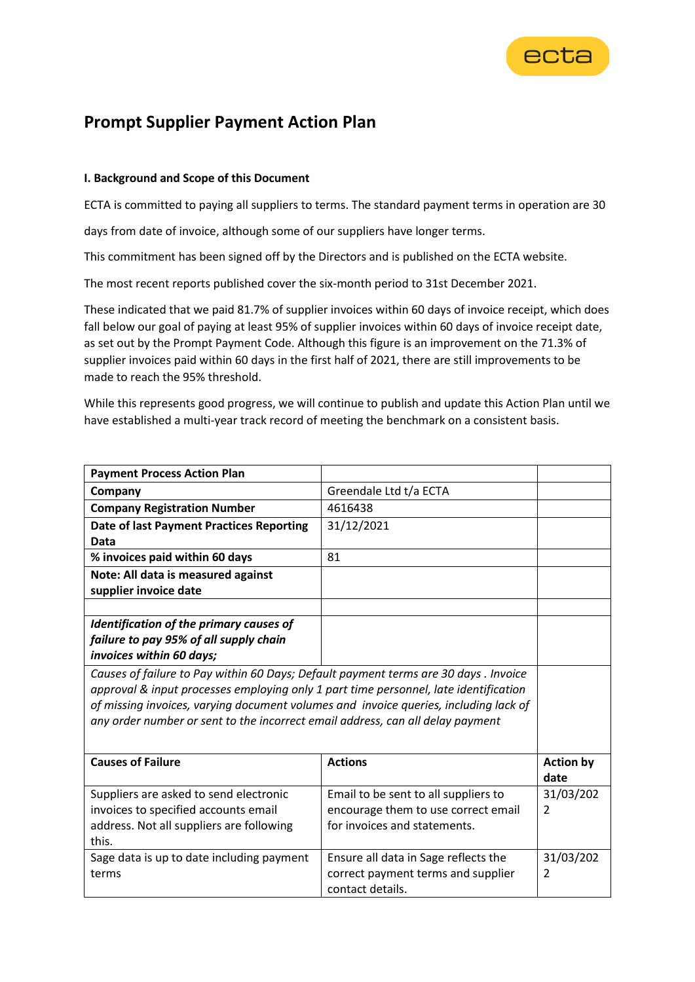

## **Prompt Supplier Payment Action Plan**

## **I. Background and Scope of this Document**

ECTA is committed to paying all suppliers to terms. The standard payment terms in operation are 30

days from date of invoice, although some of our suppliers have longer terms.

This commitment has been signed off by the Directors and is published on the ECTA website.

The most recent reports published cover the six-month period to 31st December 2021.

These indicated that we paid 81.7% of supplier invoices within 60 days of invoice receipt, which does fall below our goal of paying at least 95% of supplier invoices within 60 days of invoice receipt date, as set out by the Prompt Payment Code. Although this figure is an improvement on the 71.3% of supplier invoices paid within 60 days in the first half of 2021, there are still improvements to be made to reach the 95% threshold.

While this represents good progress, we will continue to publish and update this Action Plan until we have established a multi-year track record of meeting the benchmark on a consistent basis.

| <b>Payment Process Action Plan</b>                                                   |                                      |                  |  |
|--------------------------------------------------------------------------------------|--------------------------------------|------------------|--|
| Company                                                                              | Greendale Ltd t/a ECTA               |                  |  |
| <b>Company Registration Number</b>                                                   | 4616438                              |                  |  |
| <b>Date of last Payment Practices Reporting</b>                                      | 31/12/2021                           |                  |  |
| Data                                                                                 |                                      |                  |  |
| % invoices paid within 60 days                                                       | 81                                   |                  |  |
| Note: All data is measured against                                                   |                                      |                  |  |
| supplier invoice date                                                                |                                      |                  |  |
|                                                                                      |                                      |                  |  |
| Identification of the primary causes of                                              |                                      |                  |  |
| failure to pay 95% of all supply chain                                               |                                      |                  |  |
| invoices within 60 days;                                                             |                                      |                  |  |
| Causes of failure to Pay within 60 Days; Default payment terms are 30 days . Invoice |                                      |                  |  |
| approval & input processes employing only 1 part time personnel, late identification |                                      |                  |  |
| of missing invoices, varying document volumes and invoice queries, including lack of |                                      |                  |  |
| any order number or sent to the incorrect email address, can all delay payment       |                                      |                  |  |
|                                                                                      |                                      |                  |  |
| <b>Causes of Failure</b>                                                             | <b>Actions</b>                       | <b>Action by</b> |  |
|                                                                                      |                                      | date             |  |
| Suppliers are asked to send electronic                                               | Email to be sent to all suppliers to | 31/03/202        |  |
| invoices to specified accounts email                                                 | encourage them to use correct email  | $\overline{2}$   |  |
| address. Not all suppliers are following                                             | for invoices and statements.         |                  |  |
| this.                                                                                |                                      |                  |  |
| Sage data is up to date including payment                                            | Ensure all data in Sage reflects the | 31/03/202        |  |
| terms                                                                                | correct payment terms and supplier   | $\overline{2}$   |  |
|                                                                                      | contact details.                     |                  |  |